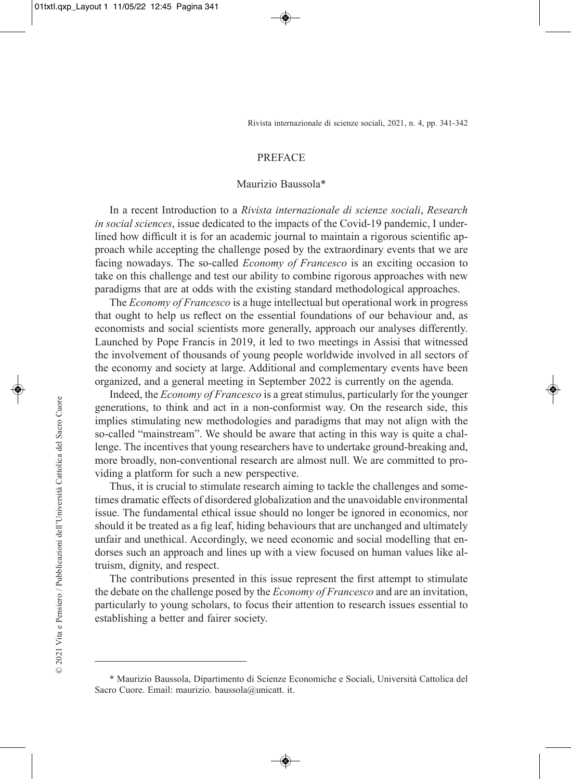## PREFACE

## Maurizio Baussola\*

In a recent Introduction to a *Rivista internazionale di scienze sociali*, *Research in social sciences*, issue dedicated to the impacts of the Covid-19 pandemic, I underlined how difficult it is for an academic journal to maintain a rigorous scientific approach while accepting the challenge posed by the extraordinary events that we are facing nowadays. The so-called *Economy of Francesco* is an exciting occasion to take on this challenge and test our ability to combine rigorous approaches with new paradigms that are at odds with the existing standard methodological approaches.

The *Economy of Francesco* is a huge intellectual but operational work in progress that ought to help us reflect on the essential foundations of our behaviour and, as economists and social scientists more generally, approach our analyses differently. Launched by Pope Francis in 2019, it led to two meetings in Assisi that witnessed the involvement of thousands of young people worldwide involved in all sectors of the economy and society at large. Additional and complementary events have been organized, and a general meeting in September 2022 is currently on the agenda.

Indeed, the *Economy of Francesco* is a great stimulus, particularly for the younger generations, to think and act in a non-conformist way. On the research side, this implies stimulating new methodologies and paradigms that may not align with the so-called "mainstream". We should be aware that acting in this way is quite a challenge. The incentives that young researchers have to undertake ground-breaking and, more broadly, non-conventional research are almost null. We are committed to providing a platform for such a new perspective.

Thus, it is crucial to stimulate research aiming to tackle the challenges and sometimes dramatic effects of disordered globalization and the unavoidable environmental issue. The fundamental ethical issue should no longer be ignored in economics, nor should it be treated as a fig leaf, hiding behaviours that are unchanged and ultimately unfair and unethical. Accordingly, we need economic and social modelling that endorses such an approach and lines up with a view focused on human values like altruism, dignity, and respect.

The contributions presented in this issue represent the first attempt to stimulate the debate on the challenge posed by the *Economy of Francesco* and are an invitation, particularly to young scholars, to focus their attention to research issues essential to establishing a better and fairer society.

<sup>\*</sup> Maurizio Baussola, Dipartimento di Scienze Economiche e Sociali, Università Cattolica del Sacro Cuore. Email: maurizio. baussola@unicatt. it.